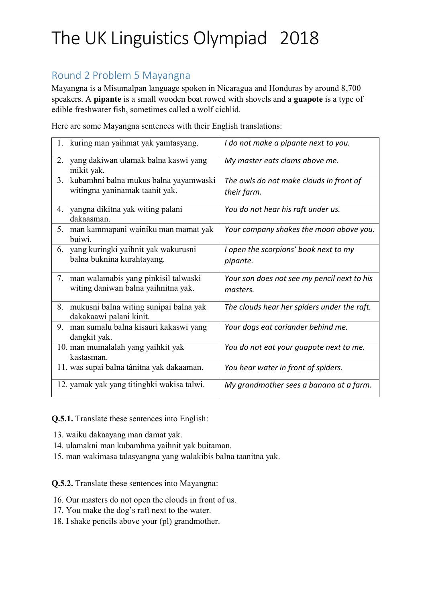## Round 2 Problem 5 Mayangna

Mayangna is a Misumalpan language spoken in Nicaragua and Honduras by around 8,700 speakers. A **pipante** is a small wooden boat rowed with shovels and a **guapote** is a type of edible freshwater fish, sometimes called a wolf cichlid.

Here are some Mayangna sentences with their English translations:

|    | kuring man yaihmat yak yamtasyang.                                             | I do not make a pipante next to you.                    |
|----|--------------------------------------------------------------------------------|---------------------------------------------------------|
| 2. | yang dakiwan ulamak balna kaswi yang<br>mikit yak.                             | My master eats clams above me.                          |
| 3. | kubamhni balna mukus balna yayamwaski<br>witingna yaninamak taanit yak.        | The owls do not make clouds in front of<br>their farm.  |
| 4. | yangna dikitna yak witing palani<br>dakaasman.                                 | You do not hear his raft under us.                      |
| 5. | man kammapani wainiku man mamat yak<br>buiwi.                                  | Your company shakes the moon above you.                 |
| 6. | yang kuringki yaihnit yak wakurusni<br>balna buknina kurahtayang.              | I open the scorpions' book next to my<br>pipante.       |
|    | 7. man walamabis yang pinkisil talwaski<br>witing daniwan balna yaihnitna yak. | Your son does not see my pencil next to his<br>masters. |
| 8. | mukusni balna witing sunipai balna yak<br>dakakaawi palani kinit.              | The clouds hear her spiders under the raft.             |
| 9. | man sumalu balna kisauri kakaswi yang<br>dangkit yak.                          | Your dogs eat coriander behind me.                      |
|    | 10. man mumalalah yang yaihkit yak<br>kastasman.                               | You do not eat your guapote next to me.                 |
|    | 11. was supai balna tânitna yak dakaaman.                                      | You hear water in front of spiders.                     |
|    | 12. yamak yak yang titinghki wakisa talwi.                                     | My grandmother sees a banana at a farm.                 |

**Q.5.1.** Translate these sentences into English:

13. waiku dakaayang man damat yak.

- 14. ulamakni man kubamhma yaihnit yak buitaman.
- 15. man wakimasa talasyangna yang walakibis balna taanitna yak.

**Q.5.2.** Translate these sentences into Mayangna:

- 16. Our masters do not open the clouds in front of us.
- 17. You make the dog's raft next to the water.
- 18. I shake pencils above your (pl) grandmother.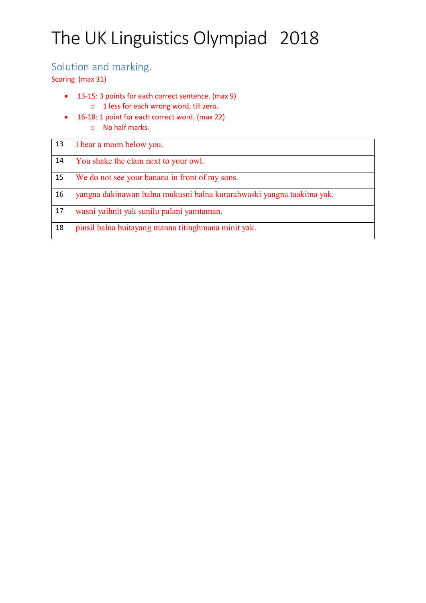## Solution and marking.

Scoring (max 31)

- 13-15: 3 points for each correct sentence. (max 9)
	- o 1 less for each wrong word, till zero.
- 16-18: 1 point for each correct word. (max 22)
	- o No half marks.

| 13 | I hear a moon below you.                                               |
|----|------------------------------------------------------------------------|
| 14 | You shake the clam next to your owl.                                   |
| 15 | We do not see your banana in front of my sons.                         |
| 16 | yangna dakinawan balna mukusni balna kurarahwaski yangna taakitna yak. |
| 17 | wasni yaihnit yak sunilu palani yamtaman.                              |
| 18 | pinsil balna buitayang manna titinghmana minit yak.                    |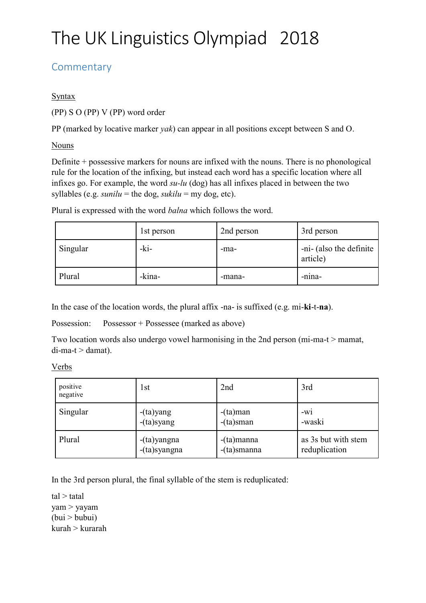### **Commentary**

#### Syntax

(PP) S O (PP) V (PP) word order

PP (marked by locative marker *yak*) can appear in all positions except between S and O.

#### Nouns

Definite + possessive markers for nouns are infixed with the nouns. There is no phonological rule for the location of the infixing, but instead each word has a specific location where all infixes go. For example, the word *su-lu* (dog) has all infixes placed in between the two syllables (e.g. *sunilu* = the dog, *sukilu* = my dog, etc).

|  | Plural is expressed with the word <i>balna</i> which follows the word. |  |  |  |  |  |  |  |
|--|------------------------------------------------------------------------|--|--|--|--|--|--|--|
|--|------------------------------------------------------------------------|--|--|--|--|--|--|--|

|          | 1st person | 2nd person | 3rd person                          |
|----------|------------|------------|-------------------------------------|
| Singular | -ki-       | -ma-       | -ni- (also the definite<br>article) |
| Plural   | -kina-     | -mana-     | -nina-                              |

In the case of the location words, the plural affix -na- is suffixed (e.g. mi-**ki**-t-**na**).

Possession: Possessor + Possessee (marked as above)

Two location words also undergo vowel harmonising in the 2nd person (mi-ma-t > mamat,  $di$ -ma-t > damat).

Verbs

| positive<br>negative | l st         | 2nd            | 3rd                 |
|----------------------|--------------|----------------|---------------------|
| Singular             | -(ta)yang    | $-(ta)$ man    | $-W1$               |
|                      | -(ta)syang   | $-(ta)$ sman   | -waski              |
| Plural               | -(ta)yangna  | -(ta)manna     | as 3s but with stem |
|                      | -(ta)syangna | $-(ta)$ smanna | reduplication       |

In the 3rd person plural, the final syllable of the stem is reduplicated:

tal > tatal yam > yayam (bui > bubui) kurah > kurarah